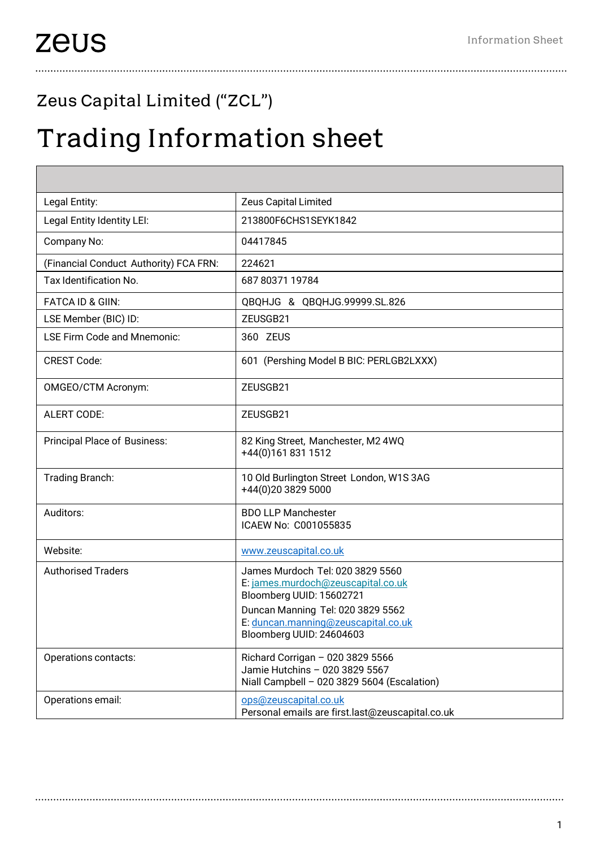## Zeus Capital Limited ("ZCL")

## Trading Information sheet

| Legal Entity:                          | Zeus Capital Limited                                                                                                                                                                                       |
|----------------------------------------|------------------------------------------------------------------------------------------------------------------------------------------------------------------------------------------------------------|
| Legal Entity Identity LEI:             | 213800F6CHS1SEYK1842                                                                                                                                                                                       |
| Company No:                            | 04417845                                                                                                                                                                                                   |
| (Financial Conduct Authority) FCA FRN: | 224621                                                                                                                                                                                                     |
| Tax Identification No.                 | 687 80371 19784                                                                                                                                                                                            |
| <b>FATCA ID &amp; GIIN:</b>            | QBQHJG & QBQHJG.99999.SL.826                                                                                                                                                                               |
| LSE Member (BIC) ID:                   | ZEUSGB21                                                                                                                                                                                                   |
| <b>LSE Firm Code and Mnemonic:</b>     | 360 ZEUS                                                                                                                                                                                                   |
| <b>CREST Code:</b>                     | 601 (Pershing Model B BIC: PERLGB2LXXX)                                                                                                                                                                    |
| OMGEO/CTM Acronym:                     | ZEUSGB21                                                                                                                                                                                                   |
| <b>ALERT CODE:</b>                     | ZEUSGB21                                                                                                                                                                                                   |
| Principal Place of Business:           | 82 King Street, Manchester, M2 4WQ<br>+44(0)1618311512                                                                                                                                                     |
| Trading Branch:                        | 10 Old Burlington Street London, W1S 3AG<br>+44(0)20 3829 5000                                                                                                                                             |
| Auditors:                              | <b>BDO LLP Manchester</b><br>ICAEW No: C001055835                                                                                                                                                          |
| Website:                               | www.zeuscapital.co.uk                                                                                                                                                                                      |
| <b>Authorised Traders</b>              | James Murdoch Tel: 020 3829 5560<br>E: james.murdoch@zeuscapital.co.uk<br>Bloomberg UUID: 15602721<br>Duncan Manning Tel: 020 3829 5562<br>E: duncan.manning@zeuscapital.co.uk<br>Bloomberg UUID: 24604603 |
| Operations contacts:                   | Richard Corrigan - 020 3829 5566<br>Jamie Hutchins - 020 3829 5567<br>Niall Campbell - 020 3829 5604 (Escalation)                                                                                          |
| Operations email:                      | ops@zeuscapital.co.uk<br>Personal emails are first.last@zeuscapital.co.uk                                                                                                                                  |